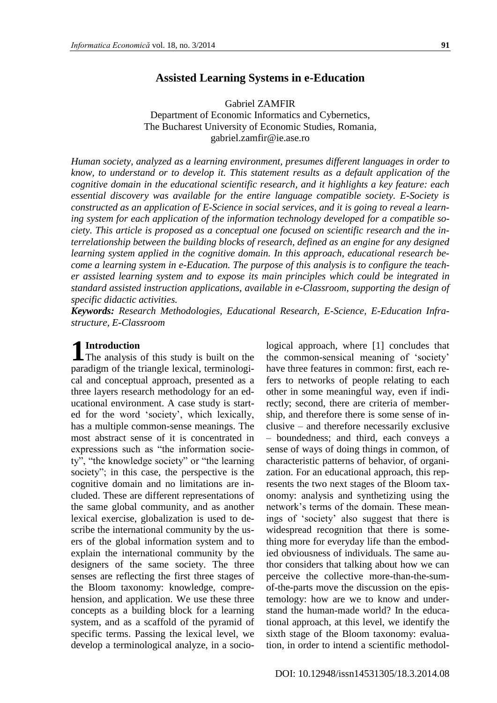# **Assisted Learning Systems in e-Education**

Gabriel ZAMFIR Department of Economic Informatics and Cybernetics, The Bucharest University of Economic Studies, Romania, gabriel.zamfir@ie.ase.ro

*Human society, analyzed as a learning environment, presumes different languages in order to know, to understand or to develop it. This statement results as a default application of the cognitive domain in the educational scientific research, and it highlights a key feature: each essential discovery was available for the entire language compatible society. E-Society is constructed as an application of E-Science in social services, and it is going to reveal a learning system for each application of the information technology developed for a compatible society. This article is proposed as a conceptual one focused on scientific research and the interrelationship between the building blocks of research, defined as an engine for any designed learning system applied in the cognitive domain. In this approach, educational research become a learning system in e-Education. The purpose of this analysis is to configure the teacher assisted learning system and to expose its main principles which could be integrated in standard assisted instruction applications, available in e-Classroom, supporting the design of specific didactic activities.*

*Keywords: Research Methodologies, Educational Research, E-Science, E-Education Infrastructure, E-Classroom*

# **Introduction**

**1** Introduction<br>The analysis of this study is built on the paradigm of the triangle lexical, terminological and conceptual approach, presented as a three layers research methodology for an educational environment. A case study is started for the word 'society', which lexically, has a multiple common-sense meanings. The most abstract sense of it is concentrated in expressions such as "the information society", "the knowledge society" or "the learning society"; in this case, the perspective is the cognitive domain and no limitations are included. These are different representations of the same global community, and as another lexical exercise, globalization is used to describe the international community by the users of the global information system and to explain the international community by the designers of the same society. The three senses are reflecting the first three stages of the Bloom taxonomy: knowledge, comprehension, and application. We use these three concepts as a building block for a learning system, and as a scaffold of the pyramid of specific terms. Passing the lexical level, we develop a terminological analyze, in a socio-

logical approach, where [1] concludes that the common-sensical meaning of 'society' have three features in common: first, each refers to networks of people relating to each other in some meaningful way, even if indirectly; second, there are criteria of membership, and therefore there is some sense of inclusive – and therefore necessarily exclusive

– boundedness; and third, each conveys a sense of ways of doing things in common, of characteristic patterns of behavior, of organization. For an educational approach, this represents the two next stages of the Bloom taxonomy: analysis and synthetizing using the network's terms of the domain. These meanings of 'society' also suggest that there is widespread recognition that there is something more for everyday life than the embodied obviousness of individuals. The same author considers that talking about how we can perceive the collective more-than-the-sumof-the-parts move the discussion on the epistemology: how are we to know and understand the human-made world? In the educational approach, at this level, we identify the sixth stage of the Bloom taxonomy: evaluation, in order to intend a scientific methodol-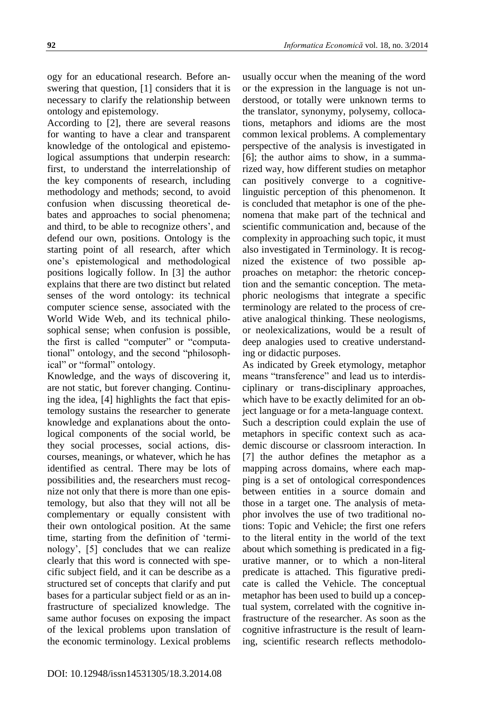ogy for an educational research. Before answering that question, [1] considers that it is necessary to clarify the relationship between ontology and epistemology.

According to [2], there are several reasons for wanting to have a clear and transparent knowledge of the ontological and epistemological assumptions that underpin research: first, to understand the interrelationship of the key components of research, including methodology and methods; second, to avoid confusion when discussing theoretical debates and approaches to social phenomena; and third, to be able to recognize others', and defend our own, positions. Ontology is the starting point of all research, after which one's epistemological and methodological positions logically follow. In [3] the author explains that there are two distinct but related senses of the word ontology: its technical computer science sense, associated with the World Wide Web, and its technical philosophical sense; when confusion is possible, the first is called "computer" or "computational" ontology, and the second "philosophical" or "formal" ontology.

Knowledge, and the ways of discovering it, are not static, but forever changing. Continuing the idea, [4] highlights the fact that epistemology sustains the researcher to generate knowledge and explanations about the ontological components of the social world, be they social processes, social actions, discourses, meanings, or whatever, which he has identified as central. There may be lots of possibilities and, the researchers must recognize not only that there is more than one epistemology, but also that they will not all be complementary or equally consistent with their own ontological position. At the same time, starting from the definition of 'terminology', [5] concludes that we can realize clearly that this word is connected with specific subject field, and it can be describe as a structured set of concepts that clarify and put bases for a particular subject field or as an infrastructure of specialized knowledge. The same author focuses on exposing the impact of the lexical problems upon translation of the economic terminology. Lexical problems

usually occur when the meaning of the word or the expression in the language is not understood, or totally were unknown terms to the translator, synonymy, polysemy, collocations, metaphors and idioms are the most common lexical problems. A complementary perspective of the analysis is investigated in [6]; the author aims to show, in a summarized way, how different studies on metaphor can positively converge to a cognitivelinguistic perception of this phenomenon. It is concluded that metaphor is one of the phenomena that make part of the technical and scientific communication and, because of the complexity in approaching such topic, it must also investigated in Terminology. It is recognized the existence of two possible approaches on metaphor: the rhetoric conception and the semantic conception. The metaphoric neologisms that integrate a specific terminology are related to the process of creative analogical thinking. These neologisms, or neolexicalizations, would be a result of deep analogies used to creative understanding or didactic purposes.

As indicated by Greek etymology, metaphor means "transference" and lead us to interdisciplinary or trans-disciplinary approaches, which have to be exactly delimited for an object language or for a meta-language context. Such a description could explain the use of metaphors in specific context such as academic discourse or classroom interaction. In [7] the author defines the metaphor as a mapping across domains, where each mapping is a set of ontological correspondences between entities in a source domain and those in a target one. The analysis of metaphor involves the use of two traditional notions: Topic and Vehicle; the first one refers to the literal entity in the world of the text about which something is predicated in a figurative manner, or to which a non-literal predicate is attached. This figurative predicate is called the Vehicle. The conceptual metaphor has been used to build up a conceptual system, correlated with the cognitive infrastructure of the researcher. As soon as the cognitive infrastructure is the result of learning, scientific research reflects methodolo-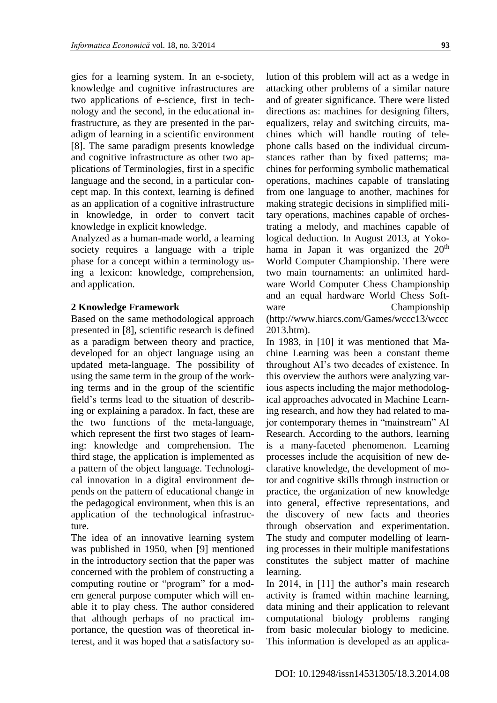gies for a learning system. In an e-society, knowledge and cognitive infrastructures are two applications of e-science, first in technology and the second, in the educational infrastructure, as they are presented in the paradigm of learning in a scientific environment [8]. The same paradigm presents knowledge and cognitive infrastructure as other two applications of Terminologies, first in a specific language and the second, in a particular concept map. In this context, learning is defined as an application of a cognitive infrastructure in knowledge, in order to convert tacit knowledge in explicit knowledge.

Analyzed as a human-made world, a learning society requires a language with a triple phase for a concept within a terminology using a lexicon: knowledge, comprehension, and application.

#### **2 Knowledge Framework**

Based on the same methodological approach presented in [8], scientific research is defined as a paradigm between theory and practice, developed for an object language using an updated meta-language. The possibility of using the same term in the group of the working terms and in the group of the scientific field's terms lead to the situation of describing or explaining a paradox. In fact, these are the two functions of the meta-language, which represent the first two stages of learning: knowledge and comprehension. The third stage, the application is implemented as a pattern of the object language. Technological innovation in a digital environment depends on the pattern of educational change in the pedagogical environment, when this is an application of the technological infrastructure.

The idea of an innovative learning system was published in 1950, when [9] mentioned in the introductory section that the paper was concerned with the problem of constructing a computing routine or "program" for a modern general purpose computer which will enable it to play chess. The author considered that although perhaps of no practical importance, the question was of theoretical interest, and it was hoped that a satisfactory solution of this problem will act as a wedge in attacking other problems of a similar nature and of greater significance. There were listed directions as: machines for designing filters, equalizers, relay and switching circuits, machines which will handle routing of telephone calls based on the individual circumstances rather than by fixed patterns; machines for performing symbolic mathematical operations, machines capable of translating from one language to another, machines for making strategic decisions in simplified military operations, machines capable of orchestrating a melody, and machines capable of logical deduction. In August 2013, at Yokohama in Japan it was organized the  $20<sup>th</sup>$ World Computer Championship. There were two main tournaments: an unlimited hardware World Computer Chess Championship and an equal hardware World Chess Software Championship (http://www.hiarcs.com/Games/wccc13/wccc 2013.htm).

In 1983, in [10] it was mentioned that Machine Learning was been a constant theme throughout AI's two decades of existence. In this overview the authors were analyzing various aspects including the major methodological approaches advocated in Machine Learning research, and how they had related to major contemporary themes in "mainstream" AI Research. According to the authors, learning is a many-faceted phenomenon. Learning processes include the acquisition of new declarative knowledge, the development of motor and cognitive skills through instruction or practice, the organization of new knowledge into general, effective representations, and the discovery of new facts and theories through observation and experimentation. The study and computer modelling of learning processes in their multiple manifestations constitutes the subject matter of machine learning.

In 2014, in [11] the author's main research activity is framed within machine learning, data mining and their application to relevant computational biology problems ranging from basic molecular biology to medicine. This information is developed as an applica-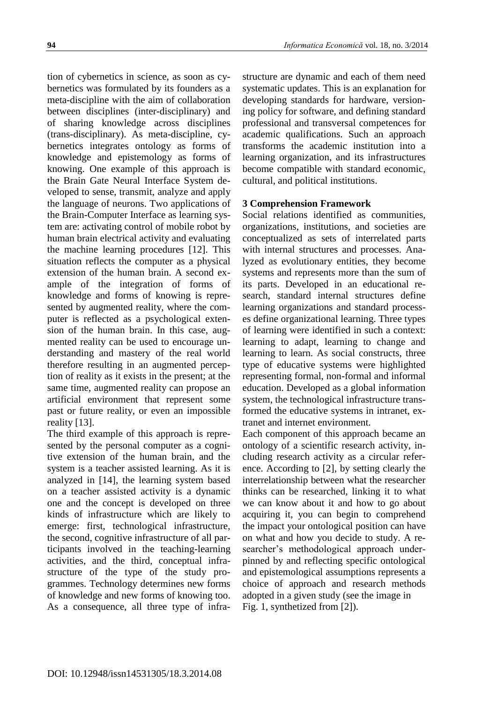tion of cybernetics in science, as soon as cybernetics was formulated by its founders as a meta-discipline with the aim of collaboration between disciplines (inter-disciplinary) and of sharing knowledge across disciplines (trans-disciplinary). As meta-discipline, cybernetics integrates ontology as forms of knowledge and epistemology as forms of knowing. One example of this approach is the Brain Gate Neural Interface System developed to sense, transmit, analyze and apply the language of neurons. Two applications of the Brain-Computer Interface as learning system are: activating control of mobile robot by human brain electrical activity and evaluating the machine learning procedures [12]. This situation reflects the computer as a physical extension of the human brain. A second example of the integration of forms of knowledge and forms of knowing is represented by augmented reality, where the computer is reflected as a psychological extension of the human brain. In this case, augmented reality can be used to encourage understanding and mastery of the real world therefore resulting in an augmented perception of reality as it exists in the present; at the same time, augmented reality can propose an artificial environment that represent some past or future reality, or even an impossible reality [13].

The third example of this approach is represented by the personal computer as a cognitive extension of the human brain, and the system is a teacher assisted learning. As it is analyzed in [14], the learning system based on a teacher assisted activity is a dynamic one and the concept is developed on three kinds of infrastructure which are likely to emerge: first, technological infrastructure, the second, cognitive infrastructure of all participants involved in the teaching-learning activities, and the third, conceptual infrastructure of the type of the study programmes. Technology determines new forms of knowledge and new forms of knowing too. As a consequence, all three type of infrastructure are dynamic and each of them need systematic updates. This is an explanation for developing standards for hardware, versioning policy for software, and defining standard professional and transversal competences for academic qualifications. Such an approach transforms the academic institution into a learning organization, and its infrastructures become compatible with standard economic, cultural, and political institutions.

# **3 Comprehension Framework**

Social relations identified as communities, organizations, institutions, and societies are conceptualized as sets of interrelated parts with internal structures and processes. Analyzed as evolutionary entities, they become systems and represents more than the sum of its parts. Developed in an educational research, standard internal structures define learning organizations and standard processes define organizational learning. Three types of learning were identified in such a context: learning to adapt, learning to change and learning to learn. As social constructs, three type of educative systems were highlighted representing formal, non-formal and informal education. Developed as a global information system, the technological infrastructure transformed the educative systems in intranet, extranet and internet environment.

Each component of this approach became an ontology of a scientific research activity, including research activity as a circular reference. According to [2], by setting clearly the interrelationship between what the researcher thinks can be researched, linking it to what we can know about it and how to go about acquiring it, you can begin to comprehend the impact your ontological position can have on what and how you decide to study. A researcher's methodological approach underpinned by and reflecting specific ontological and epistemological assumptions represents a choice of approach and research methods adopted in a given study (see the image in [Fig.](#page-4-0) 1, synthetized from [2]).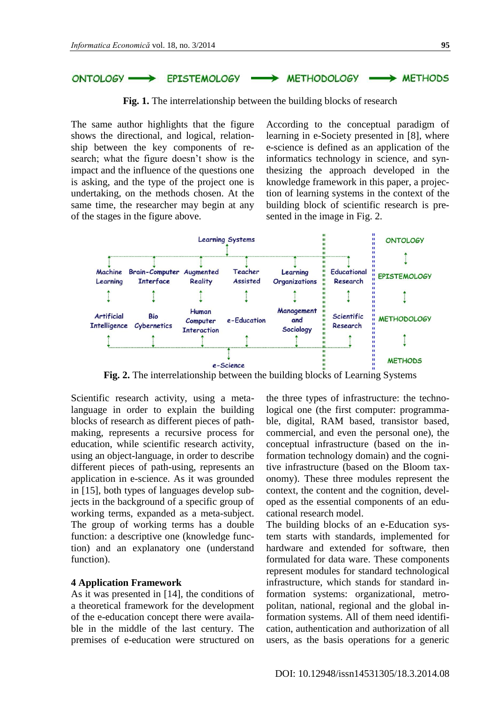<span id="page-4-0"></span>

**Fig. 1.** The interrelationship between the building blocks of research

The same author highlights that the figure shows the directional, and logical, relationship between the key components of research; what the figure doesn't show is the impact and the influence of the questions one is asking, and the type of the project one is undertaking, on the methods chosen. At the same time, the researcher may begin at any of the stages in the figure above.

According to the conceptual paradigm of learning in e-Society presented in [8], where e-science is defined as an application of the informatics technology in science, and synthesizing the approach developed in the knowledge framework in this paper, a projection of learning systems in the context of the building block of scientific research is presented in the image in [Fig.](#page-4-1) 2.



**Fig. 2.** The interrelationship between the building blocks of Learning Systems

<span id="page-4-1"></span>Scientific research activity, using a metalanguage in order to explain the building blocks of research as different pieces of pathmaking, represents a recursive process for education, while scientific research activity, using an object-language, in order to describe different pieces of path-using, represents an application in e-science. As it was grounded in [15], both types of languages develop subjects in the background of a specific group of working terms, expanded as a meta-subject. The group of working terms has a double function: a descriptive one (knowledge function) and an explanatory one (understand function).

#### **4 Application Framework**

As it was presented in [14], the conditions of a theoretical framework for the development of the e-education concept there were available in the middle of the last century. The premises of e-education were structured on the three types of infrastructure: the technological one (the first computer: programmable, digital, RAM based, transistor based, commercial, and even the personal one), the conceptual infrastructure (based on the information technology domain) and the cognitive infrastructure (based on the Bloom taxonomy). These three modules represent the context, the content and the cognition, developed as the essential components of an educational research model.

The building blocks of an e-Education system starts with standards, implemented for hardware and extended for software, then formulated for data ware. These components represent modules for standard technological infrastructure, which stands for standard information systems: organizational, metropolitan, national, regional and the global information systems. All of them need identification, authentication and authorization of all users, as the basis operations for a generic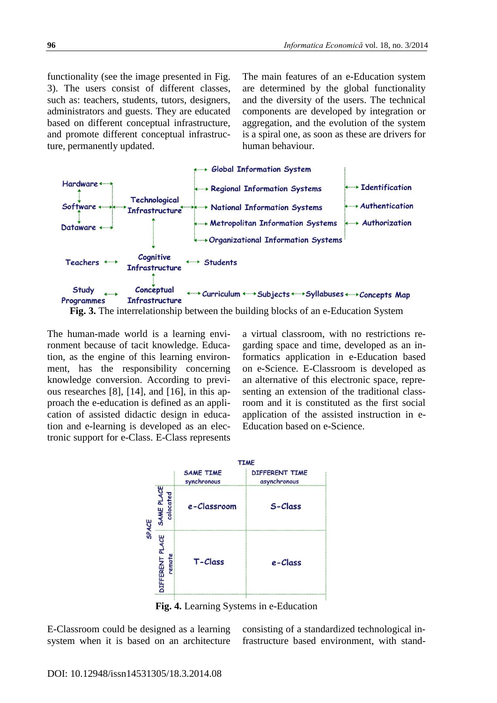functionality (see the image presented in [Fig.](#page-5-0) [3\)](#page-5-0). The users consist of different classes, such as: teachers, students, tutors, designers, administrators and guests. They are educated based on different conceptual infrastructure, and promote different conceptual infrastructure, permanently updated.

The main features of an e-Education system are determined by the global functionality and the diversity of the users. The technical components are developed by integration or aggregation, and the evolution of the system is a spiral one, as soon as these are drivers for human behaviour.



<span id="page-5-0"></span>**Fig. 3.** The interrelationship between the building blocks of an e-Education System

The human-made world is a learning environment because of tacit knowledge. Education, as the engine of this learning environment, has the responsibility concerning knowledge conversion. According to previous researches [8], [14], and [16], in this approach the e-education is defined as an application of assisted didactic design in education and e-learning is developed as an electronic support for e-Class. E-Class represents

a virtual classroom, with no restrictions regarding space and time, developed as an informatics application in e-Education based on e-Science. E-Classroom is developed as an alternative of this electronic space, representing an extension of the traditional classroom and it is constituted as the first social application of the assisted instruction in e-Education based on e-Science.



**Fig. 4.** Learning Systems in e-Education

E-Classroom could be designed as a learning system when it is based on an architecture consisting of a standardized technological infrastructure based environment, with stand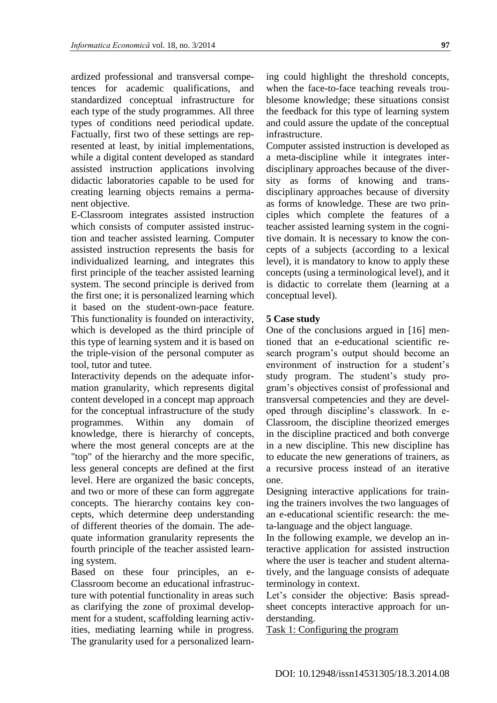ardized professional and transversal competences for academic qualifications, and standardized conceptual infrastructure for each type of the study programmes. All three types of conditions need periodical update. Factually, first two of these settings are represented at least, by initial implementations, while a digital content developed as standard assisted instruction applications involving didactic laboratories capable to be used for creating learning objects remains a permanent objective.

E-Classroom integrates assisted instruction which consists of computer assisted instruction and teacher assisted learning. Computer assisted instruction represents the basis for individualized learning, and integrates this first principle of the teacher assisted learning system. The second principle is derived from the first one; it is personalized learning which it based on the student-own-pace feature. This functionality is founded on interactivity, which is developed as the third principle of this type of learning system and it is based on the triple-vision of the personal computer as tool, tutor and tutee.

Interactivity depends on the adequate information granularity, which represents digital content developed in a concept map approach for the conceptual infrastructure of the study programmes. Within any domain of knowledge, there is hierarchy of concepts, where the most general concepts are at the "top" of the hierarchy and the more specific, less general concepts are defined at the first level. Here are organized the basic concepts, and two or more of these can form aggregate concepts. The hierarchy contains key concepts, which determine deep understanding of different theories of the domain. The adequate information granularity represents the fourth principle of the teacher assisted learning system.

Based on these four principles, an e-Classroom become an educational infrastructure with potential functionality in areas such as clarifying the zone of proximal development for a student, scaffolding learning activities, mediating learning while in progress. The granularity used for a personalized learning could highlight the threshold concepts, when the face-to-face teaching reveals troublesome knowledge; these situations consist the feedback for this type of learning system and could assure the update of the conceptual infrastructure.

Computer assisted instruction is developed as a meta-discipline while it integrates interdisciplinary approaches because of the diversity as forms of knowing and transdisciplinary approaches because of diversity as forms of knowledge. These are two principles which complete the features of a teacher assisted learning system in the cognitive domain. It is necessary to know the concepts of a subjects (according to a lexical level), it is mandatory to know to apply these concepts (using a terminological level), and it is didactic to correlate them (learning at a conceptual level).

#### **5 Case study**

One of the conclusions argued in [16] mentioned that an e-educational scientific research program's output should become an environment of instruction for a student's study program. The student's study program's objectives consist of professional and transversal competencies and they are developed through discipline's classwork. In e-Classroom, the discipline theorized emerges in the discipline practiced and both converge in a new discipline. This new discipline has to educate the new generations of trainers, as a recursive process instead of an iterative one.

Designing interactive applications for training the trainers involves the two languages of an e-educational scientific research: the meta-language and the object language.

In the following example, we develop an interactive application for assisted instruction where the user is teacher and student alternatively, and the language consists of adequate terminology in context.

Let's consider the objective: Basis spreadsheet concepts interactive approach for understanding.

Task 1: Configuring the program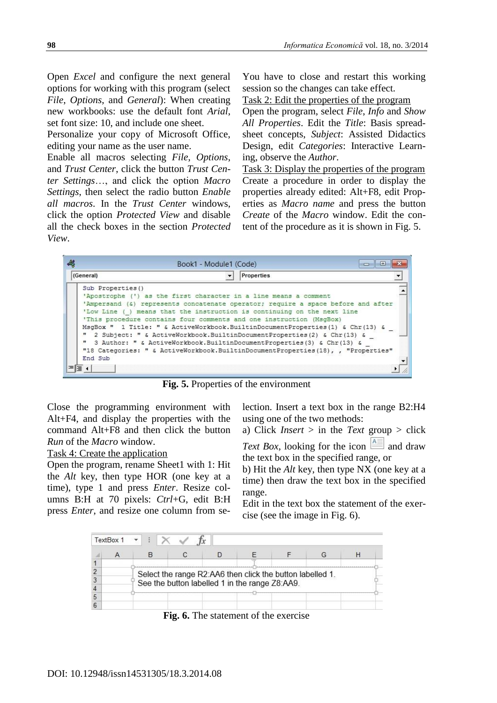Open *Excel* and configure the next general options for working with this program (select *File*, *Options*, and *General*): When creating new workbooks: use the default font *Arial*, set font size: 10, and include one sheet.

Personalize your copy of Microsoft Office, editing your name as the user name.

Enable all macros selecting *File*, *Options*, and *Trust Center*, click the button *Trust Center Settings*…, and click the option *Macro Settings*, then select the radio button *Enable all macros*. In the *Trust Center* windows, click the option *Protected View* and disable all the check boxes in the section *Protected View*.

You have to close and restart this working session so the changes can take effect.

Task 2: Edit the properties of the program

Open the program, select *File*, *Info* and *Show All Properties*. Edit the *Title*: Basis spreadsheet concepts, *Subject*: Assisted Didactics Design, edit *Categories*: Interactive Learning, observe the *Author*.

Task 3: Display the properties of the program Create a procedure in order to display the properties already edited: Alt+F8, edit Properties as *Macro name* and press the button *Create* of the *Macro* window. Edit the content of the procedure as it is shown in [Fig.](#page-7-0) 5.

| 48       | Book1 - Module1 (Code)                                                                                                                                                                                                                                                                                                                                                                                                                                                                                                                                                                                                                                               |  |
|----------|----------------------------------------------------------------------------------------------------------------------------------------------------------------------------------------------------------------------------------------------------------------------------------------------------------------------------------------------------------------------------------------------------------------------------------------------------------------------------------------------------------------------------------------------------------------------------------------------------------------------------------------------------------------------|--|
|          | Properties<br>(General)                                                                                                                                                                                                                                                                                                                                                                                                                                                                                                                                                                                                                                              |  |
|          | Sub Properties ()<br>'Apostrophe (') as the first character in a line means a comment<br>'Ampersand (&) represents concatenate operator; require a space before and after<br>means that the instruction is continuing on the next line<br>'Low Line ()<br>'This procedure contains four comments and one instruction (MsqBox)<br>MsqBox " 1 Title: " & ActiveWorkbook.BuiltinDocumentProperties(1) & Chr(13) &<br>2 Subject: " & ActiveWorkbook.BuiltinDocumentProperties(2) & Chr(13) &<br>" 3 Author: " & ActiveWorkbook.BuiltinDocumentProperties (3) & Chr (13) &<br>"18 Categories: " & ActiveWorkbook.BuiltinDocumentProperties(18), , "Properties"<br>End Sub |  |
| $\equiv$ | ≣ ←                                                                                                                                                                                                                                                                                                                                                                                                                                                                                                                                                                                                                                                                  |  |

**Fig. 5.** Properties of the environment

<span id="page-7-0"></span>Close the programming environment with Alt+F4, and display the properties with the command Alt+F8 and then click the button *Run* of the *Macro* window.

### Task 4: Create the application

Open the program, rename Sheet1 with 1: Hit the *Alt* key, then type HOR (one key at a time), type 1 and press *Enter*. Resize columns B:H at 70 pixels: *Ctrl*+G, edit B:H press *Enter*, and resize one column from selection. Insert a text box in the range B2:H4 using one of the two methods:

a) Click *Insert* > in the *Text* group > click *Text Box*, looking for the icon  $\boxed{\triangle}$  and draw the text box in the specified range, or

b) Hit the *Alt* key, then type NX (one key at a time) then draw the text box in the specified range.

Edit in the text box the statement of the exercise (see the image in [Fig.](#page-7-1) 6).

<span id="page-7-1"></span>

|   | TextBox 1 |  |                                                                                                             |  |  |  |  |  |  |  |
|---|-----------|--|-------------------------------------------------------------------------------------------------------------|--|--|--|--|--|--|--|
|   |           |  |                                                                                                             |  |  |  |  |  |  |  |
|   |           |  |                                                                                                             |  |  |  |  |  |  |  |
| 2 |           |  | Select the range R2:AA6 then click the button labelled 1.<br>See the button labelled 1 in the range Z8:AA9. |  |  |  |  |  |  |  |
|   |           |  |                                                                                                             |  |  |  |  |  |  |  |
| 4 |           |  |                                                                                                             |  |  |  |  |  |  |  |
| 5 |           |  |                                                                                                             |  |  |  |  |  |  |  |
| 6 |           |  |                                                                                                             |  |  |  |  |  |  |  |

**Fig. 6.** The statement of the exercise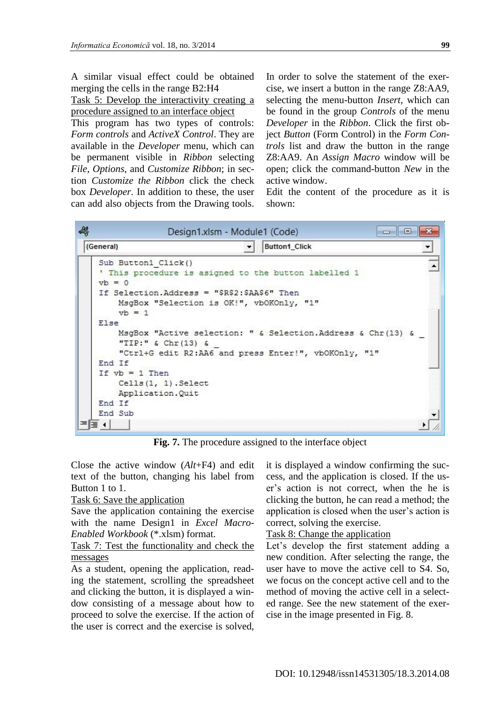A similar visual effect could be obtained merging the cells in the range B2:H4

Task 5: Develop the interactivity creating a procedure assigned to an interface object

This program has two types of controls: *Form controls* and *ActiveX Control*. They are available in the *Developer* menu, which can be permanent visible in *Ribbon* selecting *File*, *Options*, and *Customize Ribbon*; in section *Customize the Ribbon* click the check box *Developer*. In addition to these, the user can add also objects from the Drawing tools.

In order to solve the statement of the exercise, we insert a button in the range Z8:AA9, selecting the menu-button *Insert*, which can be found in the group *Controls* of the menu *Developer* in the *Ribbon*. Click the first object *Button* (Form Control) in the *Form Controls* list and draw the button in the range Z8:AA9. An *Assign Macro* window will be open; click the command-button *New* in the active window.

Edit the content of the procedure as it is shown:



**Fig. 7.** The procedure assigned to the interface object

Close the active window (*Alt*+F4) and edit text of the button, changing his label from Button 1 to 1.

### Task 6: Save the application

Save the application containing the exercise with the name Design1 in *Excel Macro-Enabled Workbook* (\*.xlsm) format.

# Task 7: Test the functionality and check the messages

As a student, opening the application, reading the statement, scrolling the spreadsheet and clicking the button, it is displayed a window consisting of a message about how to proceed to solve the exercise. If the action of the user is correct and the exercise is solved,

it is displayed a window confirming the success, and the application is closed. If the user's action is not correct, when the he is clicking the button, he can read a method; the application is closed when the user's action is correct, solving the exercise.

### Task 8: Change the application

Let's develop the first statement adding a new condition. After selecting the range, the user have to move the active cell to S4. So, we focus on the concept active cell and to the method of moving the active cell in a selected range. See the new statement of the exercise in the image presented in [Fig.](#page-9-0) 8.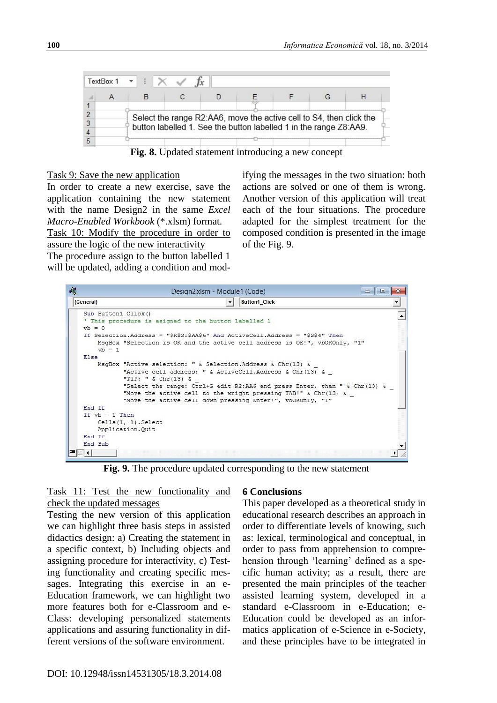| TextBox 1 |                                                                     |  |  |  |  |  |  |
|-----------|---------------------------------------------------------------------|--|--|--|--|--|--|
|           |                                                                     |  |  |  |  |  |  |
|           | Select the range R2:AA6, move the active cell to S4, then click the |  |  |  |  |  |  |
|           | button labelled 1. See the button labelled 1 in the range Z8:AA9.   |  |  |  |  |  |  |

**Fig. 8.** Updated statement introducing a new concept

### <span id="page-9-0"></span>Task 9: Save the new application

In order to create a new exercise, save the application containing the new statement with the name Design2 in the same *Excel Macro-Enabled Workbook* (\*.xlsm) format. Task 10: Modify the procedure in order to

assure the logic of the new interactivity The procedure assign to the button labelled 1 will be updated, adding a condition and mod-

ifying the messages in the two situation: both actions are solved or one of them is wrong. Another version of this application will treat each of the four situations. The procedure adapted for the simplest treatment for the composed condition is presented in the image of the [Fig.](#page-9-1) 9.

| 碍 |                                 | Design2.xlsm - Module1 (Code)<br>a<br><b>COLO</b>                                                                                                                                                                                                                                                                                                                 |  |
|---|---------------------------------|-------------------------------------------------------------------------------------------------------------------------------------------------------------------------------------------------------------------------------------------------------------------------------------------------------------------------------------------------------------------|--|
|   | (General)                       | <b>Button1 Click</b>                                                                                                                                                                                                                                                                                                                                              |  |
|   | Sub Button1 Click()<br>$vb = 0$ | ' This procedure is asigned to the button labelled 1<br>If Selection. Address = "\$R\$2:\$AA\$6" And ActiveCell. Address = "\$S\$4" Then                                                                                                                                                                                                                          |  |
|   | $vh = 1$                        | MsgBox "Selection is OK and the active cell address is OK!", vbOKOnly, "1"                                                                                                                                                                                                                                                                                        |  |
|   | Else                            |                                                                                                                                                                                                                                                                                                                                                                   |  |
|   |                                 | MsqBox "Active selection: " & Selection.Address & Chr(13) &<br>"Active cell address: " & ActiveCell.Address & Chr(13) &<br>"TIP: " $\&$ Chr(13) $\&$<br>"Select the range: Ctrl+G edit R2:AA6 and press Enter, then " & Chr(13) &<br>"Move the active cell to the wright pressing TAB!" & Chr(13) &<br>"Move the active cell down pressing Enter!", vbOKOnly, "1" |  |
|   | End If                          |                                                                                                                                                                                                                                                                                                                                                                   |  |
|   | If $vb = 1$ Then                | $Cells(1, 1)$ . Select<br>Application. Quit                                                                                                                                                                                                                                                                                                                       |  |
|   | End If                          |                                                                                                                                                                                                                                                                                                                                                                   |  |
|   | End Sub                         |                                                                                                                                                                                                                                                                                                                                                                   |  |
|   | 로토 시                            |                                                                                                                                                                                                                                                                                                                                                                   |  |

**Fig. 9.** The procedure updated corresponding to the new statement

# <span id="page-9-1"></span>Task 11: Test the new functionality and check the updated messages

Testing the new version of this application we can highlight three basis steps in assisted didactics design: a) Creating the statement in a specific context, b) Including objects and assigning procedure for interactivity, c) Testing functionality and creating specific messages. Integrating this exercise in an e-Education framework, we can highlight two more features both for e-Classroom and e-Class: developing personalized statements applications and assuring functionality in different versions of the software environment.

### **6 Conclusions**

This paper developed as a theoretical study in educational research describes an approach in order to differentiate levels of knowing, such as: lexical, terminological and conceptual, in order to pass from apprehension to comprehension through 'learning' defined as a specific human activity; as a result, there are presented the main principles of the teacher assisted learning system, developed in a standard e-Classroom in e-Education; e-Education could be developed as an informatics application of e-Science in e-Society, and these principles have to be integrated in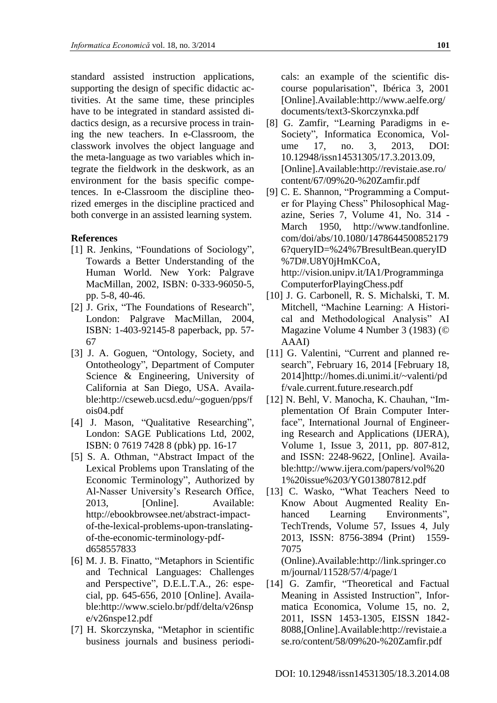standard assisted instruction applications, supporting the design of specific didactic activities. At the same time, these principles have to be integrated in standard assisted didactics design, as a recursive process in training the new teachers. In e-Classroom, the classwork involves the object language and the meta-language as two variables which integrate the fieldwork in the deskwork, as an environment for the basis specific competences. In e-Classroom the discipline theorized emerges in the discipline practiced and both converge in an assisted learning system.

### **References**

- [1] R. Jenkins, "Foundations of Sociology", Towards a Better Understanding of the Human World. New York: Palgrave MacMillan, 2002, ISBN: 0-333-96050-5, pp. 5-8, 40-46.
- [2] J. Grix, "The Foundations of Research", London: Palgrave MacMillan, 2004, ISBN: 1-403-92145-8 paperback, pp. 57- 67
- [3] J. A. Goguen, "Ontology, Society, and Ontotheology", Department of Computer Science & Engineering, University of California at San Diego, USA. Available:http://cseweb.ucsd.edu/~goguen/pps/f ois04.pdf
- [4] J. Mason, "Qualitative Researching", London: SAGE Publications Ltd, 2002, ISBN: 0 7619 7428 8 (pbk) pp. 16-17
- [5] S. A. Othman, "Abstract Impact of the Lexical Problems upon Translating of the Economic Terminology", Authorized by Al-Nasser University's Research Office, 2013, [Online]. Available: http://ebookbrowsee.net/abstract-impactof-the-lexical-problems-upon-translatingof-the-economic-terminology-pdfd658557833
- [6] M. J. B. Finatto, "Metaphors in Scientific and Technical Languages: Challenges and Perspective", D.E.L.T.A., 26: especial, pp. 645-656, 2010 [Online]. Available:http://www.scielo.br/pdf/delta/v26nsp e/v26nspe12.pdf
- [7] H. Skorczynska, "Metaphor in scientific business journals and business periodi-

cals: an example of the scientific discourse popularisation", Ibérica 3, 2001 [Online].Available:http://www.aelfe.org/ documents/text3-Skorczynxka.pdf

- [8] G. Zamfir, "Learning Paradigms in e-Society", Informatica Economica, Volume 17, no. 3, 2013, DOI: 10.12948/issn14531305/17.3.2013.09, [Online].Available:http://revistaie.ase.ro/ content/67/09%20-%20Zamfir.pdf
- [9] C. E. Shannon, "Programming a Computer for Playing Chess" Philosophical Magazine, Series 7, Volume 41, No. 314 - March 1950, http://www.tandfonline. com/doi/abs/10.1080/1478644500852179 6?queryID=%24%7BresultBean.queryID %7D#.U8Y0jHmKCoA, http://vision.unipv.it/IA1/Programminga ComputerforPlayingChess.pdf
- [10] J. G. Carbonell, R. S. Michalski, T. M. Mitchell, "Machine Learning: A Historical and Methodological Analysis" AI Magazine Volume 4 Number 3 (1983) (© AAAI)
- [11] G. Valentini, "Current and planned research", February 16, 2014 [February 18, 2014]http://homes.di.unimi.it/~valenti/pd f/vale.current.future.research.pdf
- [12] N. Behl, V. Manocha, K. Chauhan, "Implementation Of Brain Computer Interface", International Journal of Engineering Research and Applications (IJERA), Volume 1, Issue 3, 2011, pp. 807-812, and ISSN: 2248-9622, [Online]. Available:http://www.ijera.com/papers/vol%20 1%20issue%203/YG013807812.pdf
- [13] C. Wasko, "What Teachers Need to Know About Augmented Reality Enhanced Learning Environments", TechTrends, Volume 57, Issues 4, July 2013, ISSN: 8756-3894 (Print) 1559- 7075

(Online).Available:http://link.springer.co m/journal/11528/57/4/page/1

[14] G. Zamfir, "Theoretical and Factual Meaning in Assisted Instruction", Informatica Economica, Volume 15, no. 2, 2011, ISSN 1453-1305, EISSN 1842- 8088,[Online].Available:http://revistaie.a se.ro/content/58/09%20-%20Zamfir.pdf